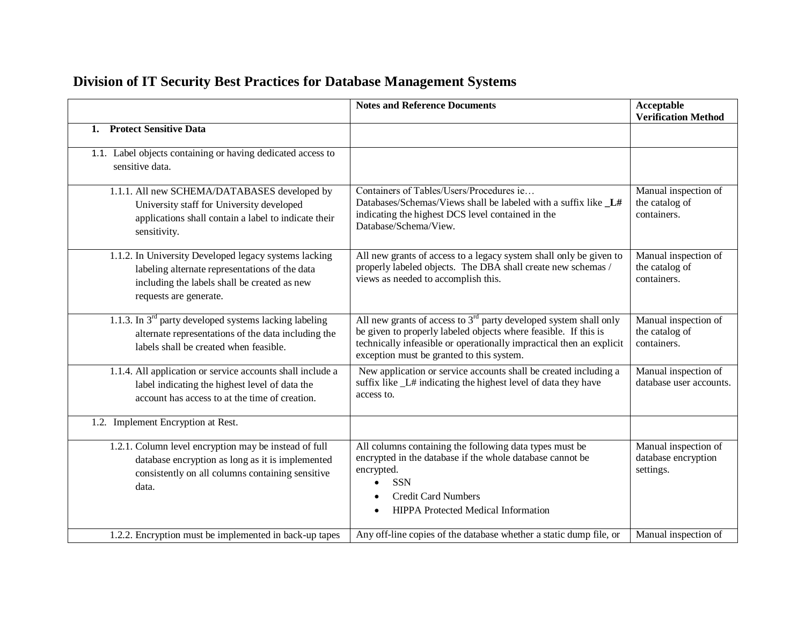|                                                                                                                                                                                   | <b>Notes and Reference Documents</b>                                                                                                                                                                                                                        | <b>Acceptable</b><br><b>Verification Method</b>          |
|-----------------------------------------------------------------------------------------------------------------------------------------------------------------------------------|-------------------------------------------------------------------------------------------------------------------------------------------------------------------------------------------------------------------------------------------------------------|----------------------------------------------------------|
| <b>Protect Sensitive Data</b><br>1.                                                                                                                                               |                                                                                                                                                                                                                                                             |                                                          |
| 1.1. Label objects containing or having dedicated access to<br>sensitive data.                                                                                                    |                                                                                                                                                                                                                                                             |                                                          |
| 1.1.1. All new SCHEMA/DATABASES developed by<br>University staff for University developed<br>applications shall contain a label to indicate their<br>sensitivity.                 | Containers of Tables/Users/Procedures ie<br>Databases/Schemas/Views shall be labeled with a suffix like _L#<br>indicating the highest DCS level contained in the<br>Database/Schema/View.                                                                   | Manual inspection of<br>the catalog of<br>containers.    |
| 1.1.2. In University Developed legacy systems lacking<br>labeling alternate representations of the data<br>including the labels shall be created as new<br>requests are generate. | All new grants of access to a legacy system shall only be given to<br>properly labeled objects. The DBA shall create new schemas /<br>views as needed to accomplish this.                                                                                   | Manual inspection of<br>the catalog of<br>containers.    |
| 1.1.3. In $3rd$ party developed systems lacking labeling<br>alternate representations of the data including the<br>labels shall be created when feasible.                         | All new grants of access to $3rd$ party developed system shall only<br>be given to properly labeled objects where feasible. If this is<br>technically infeasible or operationally impractical then an explicit<br>exception must be granted to this system. | Manual inspection of<br>the catalog of<br>containers.    |
| 1.1.4. All application or service accounts shall include a<br>label indicating the highest level of data the<br>account has access to at the time of creation.                    | New application or service accounts shall be created including a<br>suffix like L# indicating the highest level of data they have<br>access to.                                                                                                             | Manual inspection of<br>database user accounts.          |
| 1.2. Implement Encryption at Rest.                                                                                                                                                |                                                                                                                                                                                                                                                             |                                                          |
| 1.2.1. Column level encryption may be instead of full<br>database encryption as long as it is implemented<br>consistently on all columns containing sensitive<br>data.            | All columns containing the following data types must be<br>encrypted in the database if the whole database cannot be<br>encrypted.<br><b>SSN</b><br>$\bullet$<br><b>Credit Card Numbers</b><br><b>HIPPA</b> Protected Medical Information                   | Manual inspection of<br>database encryption<br>settings. |
| 1.2.2. Encryption must be implemented in back-up tapes                                                                                                                            | Any off-line copies of the database whether a static dump file, or                                                                                                                                                                                          | Manual inspection of                                     |

## **Division of IT Security Best Practices for Database Management Systems**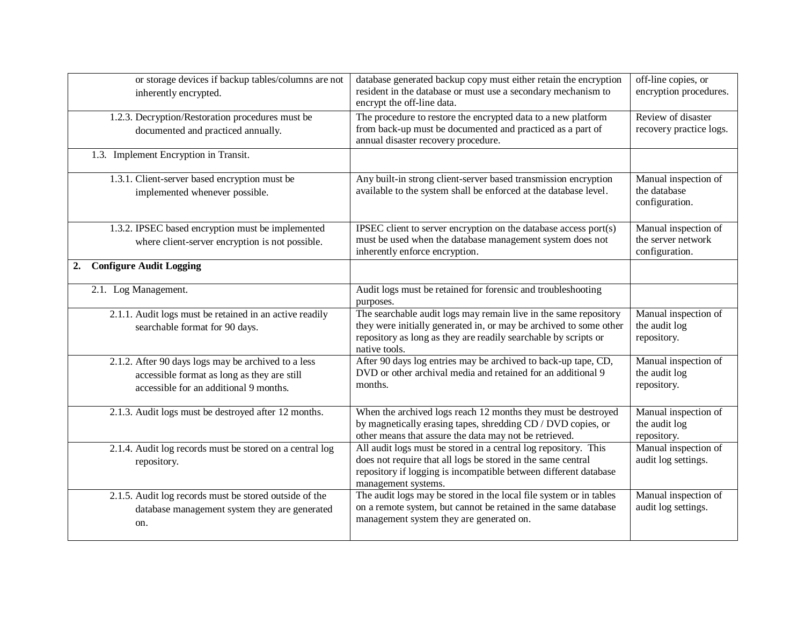| or storage devices if backup tables/columns are not                                   | database generated backup copy must either retain the encryption                                                                                       | off-line copies, or                                    |
|---------------------------------------------------------------------------------------|--------------------------------------------------------------------------------------------------------------------------------------------------------|--------------------------------------------------------|
| inherently encrypted.                                                                 | resident in the database or must use a secondary mechanism to<br>encrypt the off-line data.                                                            | encryption procedures.                                 |
| 1.2.3. Decryption/Restoration procedures must be                                      | The procedure to restore the encrypted data to a new platform                                                                                          | Review of disaster                                     |
| documented and practiced annually.                                                    | from back-up must be documented and practiced as a part of<br>annual disaster recovery procedure.                                                      | recovery practice logs.                                |
| 1.3. Implement Encryption in Transit.                                                 |                                                                                                                                                        |                                                        |
| 1.3.1. Client-server based encryption must be<br>implemented whenever possible.       | Any built-in strong client-server based transmission encryption<br>available to the system shall be enforced at the database level.                    | Manual inspection of<br>the database<br>configuration. |
| 1.3.2. IPSEC based encryption must be implemented                                     | IPSEC client to server encryption on the database access port(s)                                                                                       | Manual inspection of                                   |
| where client-server encryption is not possible.                                       | must be used when the database management system does not<br>inherently enforce encryption.                                                            | the server network<br>configuration.                   |
| <b>Configure Audit Logging</b><br>2.                                                  |                                                                                                                                                        |                                                        |
| 2.1. Log Management.                                                                  | Audit logs must be retained for forensic and troubleshooting<br>purposes.                                                                              |                                                        |
| 2.1.1. Audit logs must be retained in an active readily                               | The searchable audit logs may remain live in the same repository                                                                                       | Manual inspection of                                   |
| searchable format for 90 days.                                                        | they were initially generated in, or may be archived to some other<br>repository as long as they are readily searchable by scripts or<br>native tools. | the audit log<br>repository.                           |
| 2.1.2. After 90 days logs may be archived to a less                                   | After 90 days log entries may be archived to back-up tape, CD,                                                                                         | Manual inspection of                                   |
| accessible format as long as they are still<br>accessible for an additional 9 months. | DVD or other archival media and retained for an additional 9<br>months.                                                                                | the audit log<br>repository.                           |
| 2.1.3. Audit logs must be destroyed after 12 months.                                  | When the archived logs reach 12 months they must be destroyed                                                                                          | Manual inspection of                                   |
|                                                                                       | by magnetically erasing tapes, shredding CD / DVD copies, or<br>other means that assure the data may not be retrieved.                                 | the audit log<br>repository.                           |
| 2.1.4. Audit log records must be stored on a central log                              | All audit logs must be stored in a central log repository. This                                                                                        | Manual inspection of                                   |
| repository.                                                                           | does not require that all logs be stored in the same central                                                                                           | audit log settings.                                    |
|                                                                                       | repository if logging is incompatible between different database<br>management systems.                                                                |                                                        |
| 2.1.5. Audit log records must be stored outside of the                                | The audit logs may be stored in the local file system or in tables                                                                                     | Manual inspection of                                   |
| database management system they are generated                                         | on a remote system, but cannot be retained in the same database<br>management system they are generated on.                                            | audit log settings.                                    |
| on.                                                                                   |                                                                                                                                                        |                                                        |
|                                                                                       |                                                                                                                                                        |                                                        |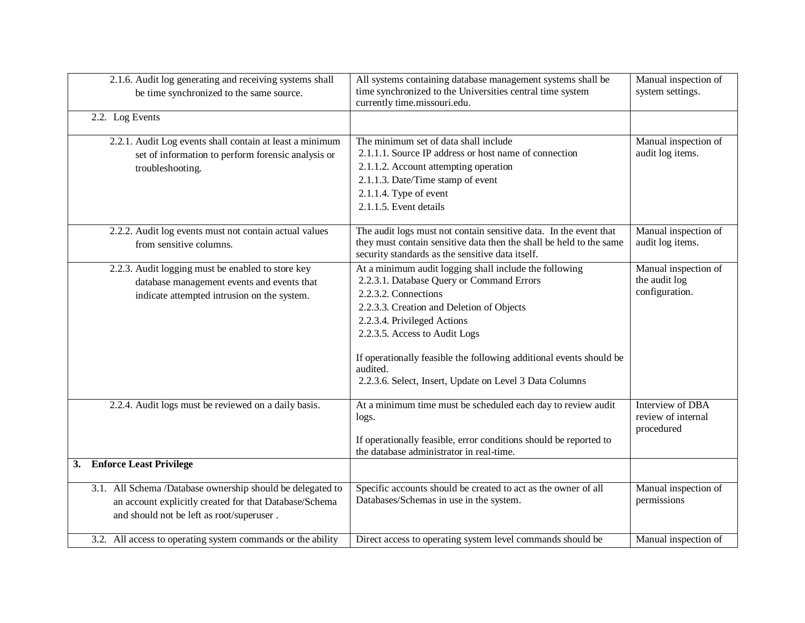|    | 2.1.6. Audit log generating and receiving systems shall                                   | All systems containing database management systems shall be                                                             | Manual inspection of                  |
|----|-------------------------------------------------------------------------------------------|-------------------------------------------------------------------------------------------------------------------------|---------------------------------------|
|    | be time synchronized to the same source.                                                  | time synchronized to the Universities central time system                                                               | system settings.                      |
|    |                                                                                           | currently time.missouri.edu.                                                                                            |                                       |
|    | 2.2. Log Events                                                                           |                                                                                                                         |                                       |
|    | 2.2.1. Audit Log events shall contain at least a minimum                                  | The minimum set of data shall include                                                                                   | Manual inspection of                  |
|    | set of information to perform forensic analysis or                                        | 2.1.1.1. Source IP address or host name of connection                                                                   | audit log items.                      |
|    | troubleshooting.                                                                          | 2.1.1.2. Account attempting operation                                                                                   |                                       |
|    |                                                                                           | 2.1.1.3. Date/Time stamp of event                                                                                       |                                       |
|    |                                                                                           | 2.1.1.4. Type of event                                                                                                  |                                       |
|    |                                                                                           | 2.1.1.5. Event details                                                                                                  |                                       |
|    |                                                                                           |                                                                                                                         |                                       |
|    | 2.2.2. Audit log events must not contain actual values                                    | The audit logs must not contain sensitive data. In the event that                                                       | Manual inspection of                  |
|    | from sensitive columns.                                                                   | they must contain sensitive data then the shall be held to the same<br>security standards as the sensitive data itself. | audit log items.                      |
|    |                                                                                           |                                                                                                                         |                                       |
|    | 2.2.3. Audit logging must be enabled to store key                                         | At a minimum audit logging shall include the following<br>2.2.3.1. Database Query or Command Errors                     | Manual inspection of<br>the audit log |
|    | database management events and events that<br>indicate attempted intrusion on the system. | 2.2.3.2. Connections                                                                                                    | configuration.                        |
|    |                                                                                           | 2.2.3.3. Creation and Deletion of Objects                                                                               |                                       |
|    |                                                                                           | 2.2.3.4. Privileged Actions                                                                                             |                                       |
|    |                                                                                           | 2.2.3.5. Access to Audit Logs                                                                                           |                                       |
|    |                                                                                           |                                                                                                                         |                                       |
|    |                                                                                           | If operationally feasible the following additional events should be                                                     |                                       |
|    |                                                                                           | audited.                                                                                                                |                                       |
|    |                                                                                           | 2.2.3.6. Select, Insert, Update on Level 3 Data Columns                                                                 |                                       |
|    |                                                                                           |                                                                                                                         |                                       |
|    | 2.2.4. Audit logs must be reviewed on a daily basis.                                      | At a minimum time must be scheduled each day to review audit                                                            | <b>Interview of DBA</b>               |
|    |                                                                                           | logs.                                                                                                                   | review of internal                    |
|    |                                                                                           | If operationally feasible, error conditions should be reported to                                                       | procedured                            |
|    |                                                                                           | the database administrator in real-time.                                                                                |                                       |
| 3. | <b>Enforce Least Privilege</b>                                                            |                                                                                                                         |                                       |
|    |                                                                                           |                                                                                                                         |                                       |
|    | 3.1. All Schema /Database ownership should be delegated to                                | Specific accounts should be created to act as the owner of all                                                          | Manual inspection of                  |
|    | an account explicitly created for that Database/Schema                                    | Databases/Schemas in use in the system.                                                                                 | permissions                           |
|    | and should not be left as root/superuser.                                                 |                                                                                                                         |                                       |
|    |                                                                                           |                                                                                                                         |                                       |
|    | 3.2. All access to operating system commands or the ability                               | Direct access to operating system level commands should be                                                              | Manual inspection of                  |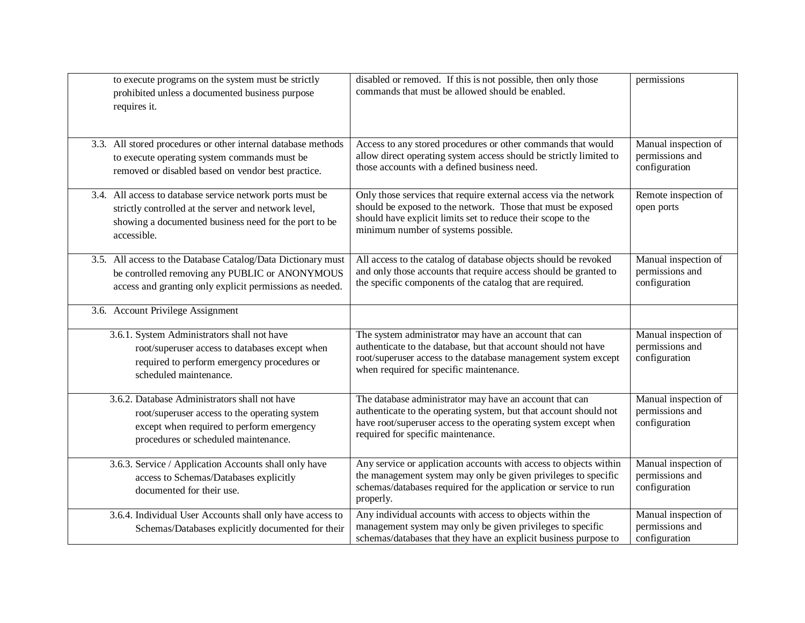| to execute programs on the system must be strictly            | disabled or removed. If this is not possible, then only those      | permissions          |
|---------------------------------------------------------------|--------------------------------------------------------------------|----------------------|
| prohibited unless a documented business purpose               | commands that must be allowed should be enabled.                   |                      |
| requires it.                                                  |                                                                    |                      |
|                                                               |                                                                    |                      |
|                                                               |                                                                    |                      |
| 3.3. All stored procedures or other internal database methods | Access to any stored procedures or other commands that would       | Manual inspection of |
| to execute operating system commands must be                  | allow direct operating system access should be strictly limited to | permissions and      |
| removed or disabled based on vendor best practice.            | those accounts with a defined business need.                       | configuration        |
|                                                               |                                                                    |                      |
| 3.4. All access to database service network ports must be     | Only those services that require external access via the network   | Remote inspection of |
| strictly controlled at the server and network level,          | should be exposed to the network. Those that must be exposed       | open ports           |
| showing a documented business need for the port to be         | should have explicit limits set to reduce their scope to the       |                      |
| accessible.                                                   | minimum number of systems possible.                                |                      |
|                                                               |                                                                    |                      |
| 3.5. All access to the Database Catalog/Data Dictionary must  | All access to the catalog of database objects should be revoked    | Manual inspection of |
| be controlled removing any PUBLIC or ANONYMOUS                | and only those accounts that require access should be granted to   | permissions and      |
| access and granting only explicit permissions as needed.      | the specific components of the catalog that are required.          | configuration        |
|                                                               |                                                                    |                      |
| 3.6. Account Privilege Assignment                             |                                                                    |                      |
|                                                               |                                                                    |                      |
| 3.6.1. System Administrators shall not have                   | The system administrator may have an account that can              | Manual inspection of |
| root/superuser access to databases except when                | authenticate to the database, but that account should not have     | permissions and      |
| required to perform emergency procedures or                   | root/superuser access to the database management system except     | configuration        |
| scheduled maintenance.                                        | when required for specific maintenance.                            |                      |
|                                                               |                                                                    |                      |
| 3.6.2. Database Administrators shall not have                 | The database administrator may have an account that can            | Manual inspection of |
| root/superuser access to the operating system                 | authenticate to the operating system, but that account should not  | permissions and      |
| except when required to perform emergency                     | have root/superuser access to the operating system except when     | configuration        |
| procedures or scheduled maintenance.                          | required for specific maintenance.                                 |                      |
|                                                               |                                                                    |                      |
| 3.6.3. Service / Application Accounts shall only have         | Any service or application accounts with access to objects within  | Manual inspection of |
| access to Schemas/Databases explicitly                        | the management system may only be given privileges to specific     | permissions and      |
| documented for their use.                                     | schemas/databases required for the application or service to run   | configuration        |
|                                                               | properly.                                                          |                      |
| 3.6.4. Individual User Accounts shall only have access to     | Any individual accounts with access to objects within the          | Manual inspection of |
| Schemas/Databases explicitly documented for their             | management system may only be given privileges to specific         | permissions and      |
|                                                               | schemas/databases that they have an explicit business purpose to   | configuration        |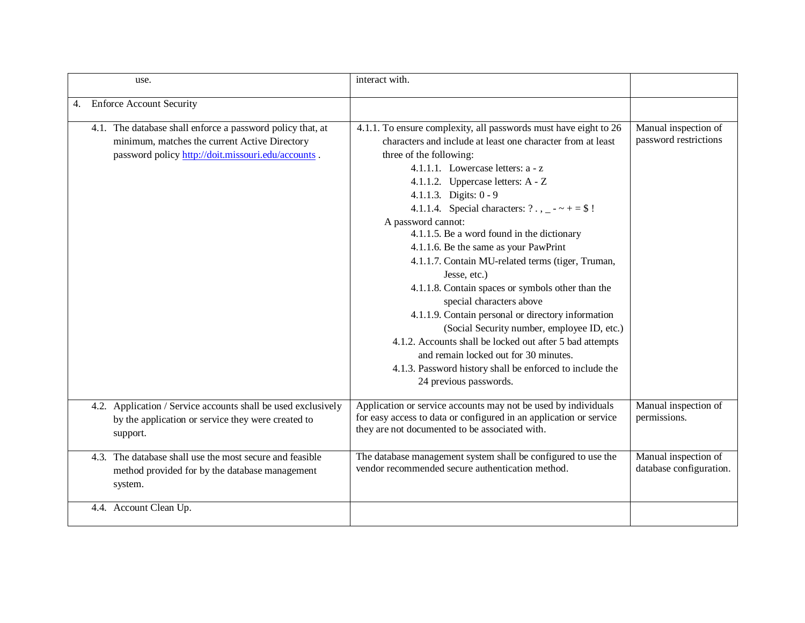| use.                                                                                                                                                              | interact with.                                                                                                                                                                                                                                                                                                                                                                                                                                                                                                                                                                                                                                                                                                                                                                                                          |                                                 |
|-------------------------------------------------------------------------------------------------------------------------------------------------------------------|-------------------------------------------------------------------------------------------------------------------------------------------------------------------------------------------------------------------------------------------------------------------------------------------------------------------------------------------------------------------------------------------------------------------------------------------------------------------------------------------------------------------------------------------------------------------------------------------------------------------------------------------------------------------------------------------------------------------------------------------------------------------------------------------------------------------------|-------------------------------------------------|
| <b>Enforce Account Security</b><br>4.                                                                                                                             |                                                                                                                                                                                                                                                                                                                                                                                                                                                                                                                                                                                                                                                                                                                                                                                                                         |                                                 |
| 4.1. The database shall enforce a password policy that, at<br>minimum, matches the current Active Directory<br>password policy http://doit.missouri.edu/accounts. | 4.1.1. To ensure complexity, all passwords must have eight to 26<br>characters and include at least one character from at least<br>three of the following:<br>4.1.1.1. Lowercase letters: $a - z$<br>4.1.1.2. Uppercase letters: A - Z<br>4.1.1.3. Digits: 0 - 9<br>4.1.1.4. Special characters: $? \, . \, . \, - \, - \, + \, = \, \$$ !<br>A password cannot:<br>4.1.1.5. Be a word found in the dictionary<br>4.1.1.6. Be the same as your PawPrint<br>4.1.1.7. Contain MU-related terms (tiger, Truman,<br>Jesse, etc.)<br>4.1.1.8. Contain spaces or symbols other than the<br>special characters above<br>4.1.1.9. Contain personal or directory information<br>(Social Security number, employee ID, etc.)<br>4.1.2. Accounts shall be locked out after 5 bad attempts<br>and remain locked out for 30 minutes. | Manual inspection of<br>password restrictions   |
|                                                                                                                                                                   | 4.1.3. Password history shall be enforced to include the<br>24 previous passwords.                                                                                                                                                                                                                                                                                                                                                                                                                                                                                                                                                                                                                                                                                                                                      |                                                 |
| 4.2. Application / Service accounts shall be used exclusively<br>by the application or service they were created to<br>support.                                   | Application or service accounts may not be used by individuals<br>for easy access to data or configured in an application or service<br>they are not documented to be associated with.                                                                                                                                                                                                                                                                                                                                                                                                                                                                                                                                                                                                                                  | Manual inspection of<br>permissions.            |
| 4.3. The database shall use the most secure and feasible<br>method provided for by the database management<br>system.                                             | The database management system shall be configured to use the<br>vendor recommended secure authentication method.                                                                                                                                                                                                                                                                                                                                                                                                                                                                                                                                                                                                                                                                                                       | Manual inspection of<br>database configuration. |
| 4.4. Account Clean Up.                                                                                                                                            |                                                                                                                                                                                                                                                                                                                                                                                                                                                                                                                                                                                                                                                                                                                                                                                                                         |                                                 |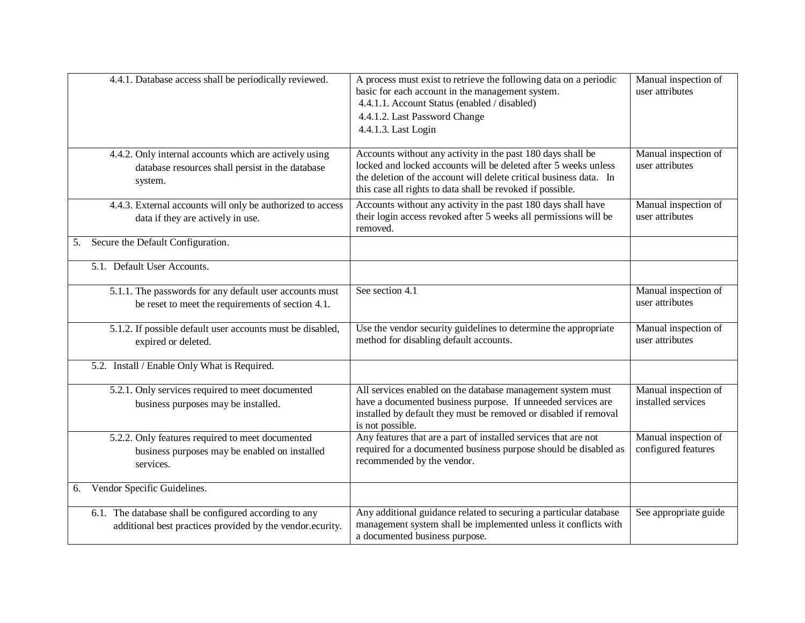| 4.4.1. Database access shall be periodically reviewed.                                                                | A process must exist to retrieve the following data on a periodic<br>basic for each account in the management system.<br>4.4.1.1. Account Status (enabled / disabled)<br>4.4.1.2. Last Password Change<br>4.4.1.3. Last Login                                      | Manual inspection of<br>user attributes     |
|-----------------------------------------------------------------------------------------------------------------------|--------------------------------------------------------------------------------------------------------------------------------------------------------------------------------------------------------------------------------------------------------------------|---------------------------------------------|
| 4.4.2. Only internal accounts which are actively using<br>database resources shall persist in the database<br>system. | Accounts without any activity in the past 180 days shall be<br>locked and locked accounts will be deleted after 5 weeks unless<br>the deletion of the account will delete critical business data. In<br>this case all rights to data shall be revoked if possible. | Manual inspection of<br>user attributes     |
| 4.4.3. External accounts will only be authorized to access<br>data if they are actively in use.                       | Accounts without any activity in the past 180 days shall have<br>their login access revoked after 5 weeks all permissions will be<br>removed.                                                                                                                      | Manual inspection of<br>user attributes     |
| Secure the Default Configuration.<br>5.                                                                               |                                                                                                                                                                                                                                                                    |                                             |
| 5.1. Default User Accounts.                                                                                           |                                                                                                                                                                                                                                                                    |                                             |
| 5.1.1. The passwords for any default user accounts must<br>be reset to meet the requirements of section 4.1.          | See section 4.1                                                                                                                                                                                                                                                    | Manual inspection of<br>user attributes     |
| 5.1.2. If possible default user accounts must be disabled,<br>expired or deleted.                                     | Use the vendor security guidelines to determine the appropriate<br>method for disabling default accounts.                                                                                                                                                          | Manual inspection of<br>user attributes     |
| 5.2. Install / Enable Only What is Required.                                                                          |                                                                                                                                                                                                                                                                    |                                             |
| 5.2.1. Only services required to meet documented<br>business purposes may be installed.                               | All services enabled on the database management system must<br>have a documented business purpose. If unneeded services are<br>installed by default they must be removed or disabled if removal<br>is not possible.                                                | Manual inspection of<br>installed services  |
| 5.2.2. Only features required to meet documented<br>business purposes may be enabled on installed<br>services.        | Any features that are a part of installed services that are not<br>required for a documented business purpose should be disabled as<br>recommended by the vendor.                                                                                                  | Manual inspection of<br>configured features |
| Vendor Specific Guidelines.<br>6.                                                                                     |                                                                                                                                                                                                                                                                    |                                             |
| 6.1. The database shall be configured according to any<br>additional best practices provided by the vendor.ecurity.   | Any additional guidance related to securing a particular database<br>management system shall be implemented unless it conflicts with<br>a documented business purpose.                                                                                             | See appropriate guide                       |